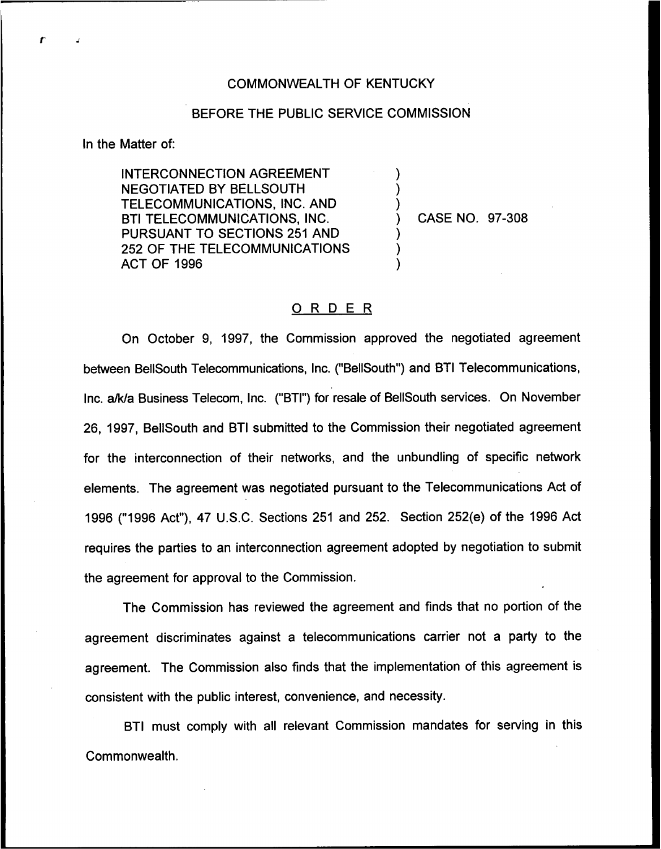## COMMONWEALTH OF KENTUCKY

## BEFORE THE PUBLIC SERVICE COMMISSION

) ) )

> ) ) )

In the Matter of:

INTERCONNECTION AGREEMENT NEGOTIATED BY BELLSOUTH TELECOMMUNICATIONS, INC. AND BTI TELECOMMUNICATIONS, INC. PURSUANT TO SECTIONS 251 AND 252 OF THE TELECOMMUNICATIONS ACT OF 1996

) CASE NO. 97-308

## 0 <sup>R</sup> <sup>D</sup> <sup>E</sup> <sup>R</sup>

On October 9, 1997, the Commission approved the negotiated agreement between BellSouth Telecommunications, Inc. ("BellSouth") and BTI Telecommunications, Inc. a/k/a Business Telecom, Inc. ("BTI") for resale of BellSouth services. On November 26, 1997, BellSouth and BTI submitted to the Commission their negotiated agreement for the interconnection of their networks, and the unbundling of specific network elements. The agreement was negotiated pursuant to the Telecommunications Act of 1996 ("1996Act"), 47 U.S.C. Sections 251 and 252. Section 252(e) of the 1996 Act requires the parties to an interconnection agreement adopted by negotiation to submit the agreement for approval to the Commission.

The Commission has reviewed the agreement and finds that no portion of the agreement discriminates against a telecommunications carrier not a party to the agreement. The Commission also finds that the implementation of this agreement is consistent with the public interest, convenience, and necessity.

BTI must comply with all relevant Commission mandates for serving in this Commonwealth.